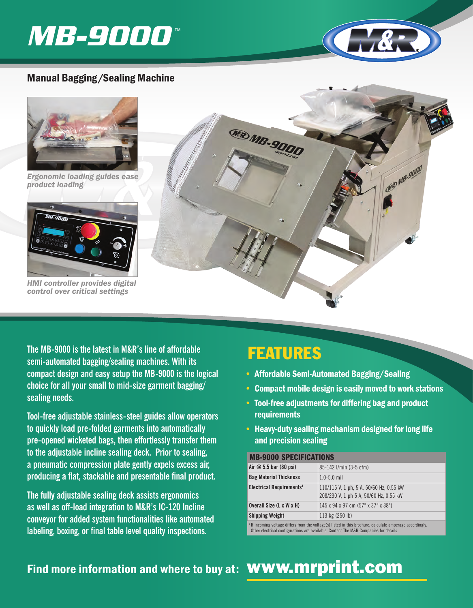# **MB-9000** ™



**CATED MB-9000** 

## Manual Bagging/Sealing Machine



*Ergonomic loading guides ease product loading* 



*HMI controller provides digital control over critical settings* 

**The MB-9000 is the latest in M&R's line of affordable semi-automated bagging/sealing machines. With its compact design and easy setup the MB-9000 is the logical choice for all your small to mid-size garment bagging/ sealing needs.** 

**Tool-free adjustable stainless-steel guides allow operators to quickly load pre-folded garments into automatically pre-opened wicketed bags, then effortlessly transfer them to the adjustable incline sealing deck. Prior to sealing, a pneumatic compression plate gently expels excess air, producing a flat, stackable and presentable final product.** 

**The fully adjustable sealing deck assists ergonomics as well as off-load integration to M&R's IC-120 Incline conveyor for added system functionalities like automated labeling, boxing, or final table level quality inspections.**

## FEATURES

MR MB-9000

- Affordable Semi-Automated Bagging/Sealing
- Compact mobile design is easily moved to work stations
- Tool-free adjustments for differing bag and product requirements
- Heavy-duty sealing mechanism designed for long life and precision sealing

### MB-9000 SPECIFICATIONS

| Air $@5.5$ bar (80 psi)                                                                                      | 85-142 I/min (3-5 cfm)                                                            |
|--------------------------------------------------------------------------------------------------------------|-----------------------------------------------------------------------------------|
| <b>Bag Material Thickness</b>                                                                                | $1.0 - 5.0$ mil                                                                   |
| Electrical Requirements <sup>1</sup>                                                                         | 110/115 V, 1 ph, 5 A, 50/60 Hz, 0.55 kW<br>208/230 V, 1 ph 5 A, 50/60 Hz, 0.55 kW |
| Overall Size (L x W x H)                                                                                     | 145 x 94 x 97 cm (57" x 37" x 38")                                                |
| <b>Shipping Weight</b>                                                                                       | 113 kg (250 lb)                                                                   |
| $1$ If incoming voltage differs from the voltage(s) listed in this brochure, calculate amperage accordingly. |                                                                                   |

Other electrical configurations are available: Contact The M&R Companies for details.

## Find more information and where to buy at: **WWW.mrprint.com**